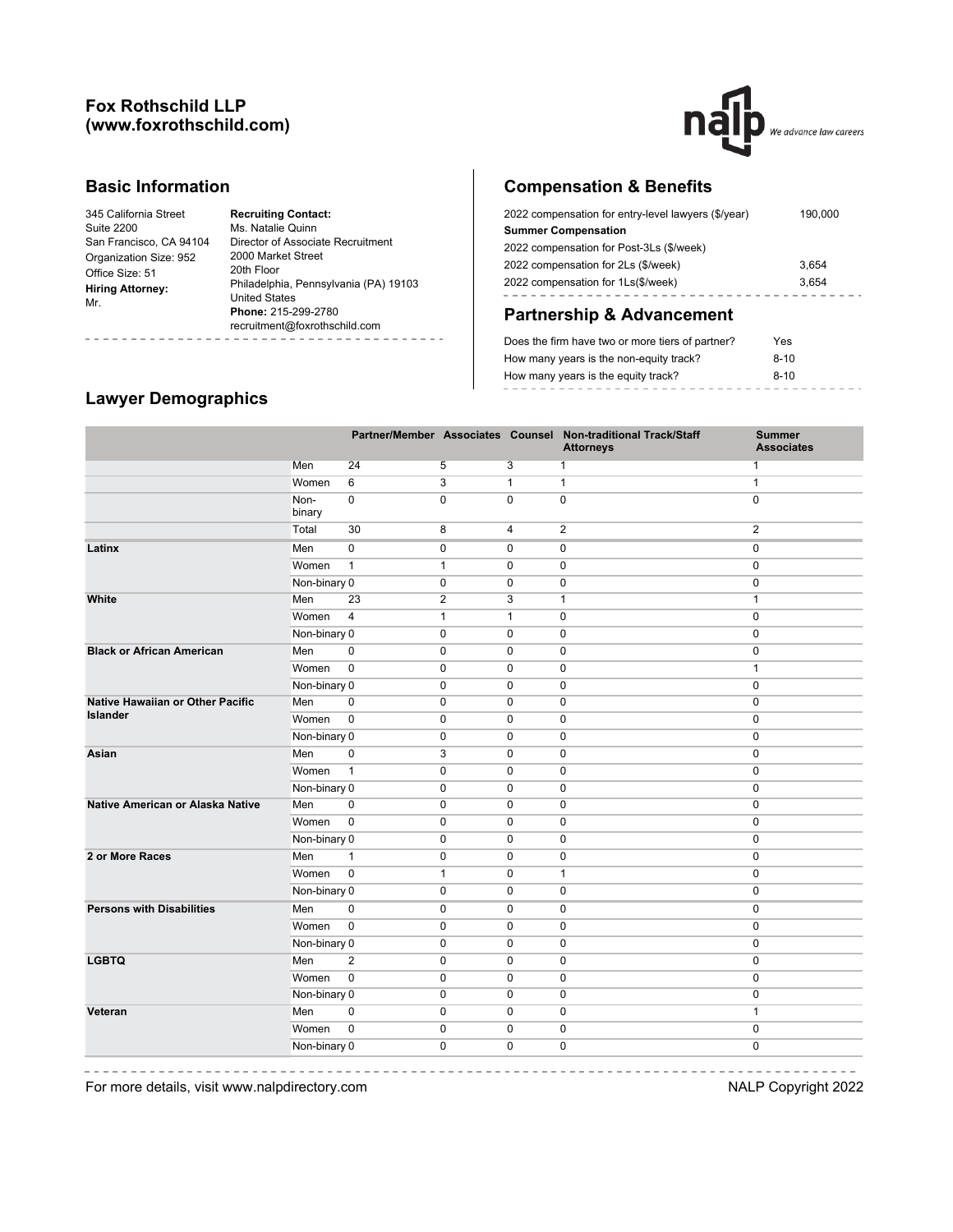## **Fox Rothschild LLP (www.foxrothschild.com)**



## **Basic Information**

| <b>Recruiting Contact:</b>            |
|---------------------------------------|
| Ms. Natalie Quinn                     |
| Director of Associate Recruitment     |
| 2000 Market Street                    |
| 20th Floor                            |
| Philadelphia, Pennsylvania (PA) 19103 |
| <b>United States</b>                  |
| Phone: 215-299-2780                   |
| recruitment@foxrothschild.com         |
|                                       |

# **Compensation & Benefits**

| 2022 compensation for entry-level lawyers (\$/year) | 190,000 |
|-----------------------------------------------------|---------|
| <b>Summer Compensation</b>                          |         |
| 2022 compensation for Post-3Ls (\$/week)            |         |
| 2022 compensation for 2Ls (\$/week)                 | 3.654   |
| 2022 compensation for 1Ls(\$/week)                  | 3.654   |
|                                                     |         |

# **Partnership & Advancement**

| Does the firm have two or more tiers of partner? | Yes    |
|--------------------------------------------------|--------|
| How many years is the non-equity track?          | $8-10$ |
| How many years is the equity track?              | $8-10$ |
|                                                  |        |

# **Lawyer Demographics**

|                                         |                |                |                |                | Partner/Member Associates Counsel Non-traditional Track/Staff<br><b>Attorneys</b> | <b>Summer</b><br><b>Associates</b> |
|-----------------------------------------|----------------|----------------|----------------|----------------|-----------------------------------------------------------------------------------|------------------------------------|
|                                         | Men            | 24             | $\overline{5}$ | $\overline{3}$ | 1                                                                                 | $\mathbf{1}$                       |
|                                         | Women          | 6              | 3              | $\mathbf{1}$   | $\mathbf{1}$                                                                      | $\mathbf{1}$                       |
|                                         | Non-<br>binary | $\mathbf 0$    | $\mathbf 0$    | $\Omega$       | $\mathbf 0$                                                                       | $\mathbf 0$                        |
|                                         | Total          | 30             | 8              | $\overline{4}$ | 2                                                                                 | 2                                  |
| Latinx                                  | Men            | $\overline{0}$ | 0              | $\mathbf 0$    | 0                                                                                 | $\pmb{0}$                          |
|                                         | Women          | $\mathbf{1}$   | $\mathbf{1}$   | $\mathbf 0$    | 0                                                                                 | $\mathbf 0$                        |
|                                         | Non-binary 0   |                | $\mathbf 0$    | $\mathbf 0$    | $\mathbf 0$                                                                       | $\mathbf 0$                        |
| White                                   | Men            | 23             | $\overline{2}$ | 3              | $\mathbf{1}$                                                                      | $\mathbf{1}$                       |
|                                         | Women          | $\overline{4}$ | $\mathbf{1}$   | $\mathbf{1}$   | $\mathbf 0$                                                                       | $\mathbf 0$                        |
|                                         | Non-binary 0   |                | $\mathbf 0$    | $\mathbf 0$    | $\mathbf 0$                                                                       | $\mathbf 0$                        |
| <b>Black or African American</b>        | Men            | $\pmb{0}$      | 0              | $\mathbf 0$    | $\mathbf 0$                                                                       | $\mathbf 0$                        |
|                                         | Women          | $\overline{0}$ | $\mathbf 0$    | $\mathbf 0$    | $\pmb{0}$                                                                         | $\mathbf{1}$                       |
|                                         | Non-binary 0   |                | 0              | $\mathbf 0$    | $\mathbf 0$                                                                       | $\mathbf 0$                        |
| <b>Native Hawaiian or Other Pacific</b> | Men            | $\mathbf 0$    | $\mathbf 0$    | $\mathbf 0$    | $\mathbf 0$                                                                       | $\mathbf 0$                        |
| Islander                                | Women          | $\overline{0}$ | 0              | $\mathbf 0$    | $\pmb{0}$                                                                         | $\mathbf 0$                        |
|                                         | Non-binary 0   |                | 0              | $\mathbf 0$    | $\mathbf 0$                                                                       | $\mathbf 0$                        |
| Asian                                   | Men            | $\mathbf 0$    | 3              | $\mathbf 0$    | $\mathbf 0$                                                                       | $\mathbf 0$                        |
|                                         | Women          | $\mathbf{1}$   | 0              | $\mathbf 0$    | $\pmb{0}$                                                                         | $\mathbf 0$                        |
|                                         | Non-binary 0   |                | $\mathbf 0$    | $\mathbf 0$    | $\mathbf 0$                                                                       | $\mathbf 0$                        |
| Native American or Alaska Native        | Men            | $\mathbf 0$    | $\mathbf 0$    | $\mathbf 0$    | $\mathbf 0$                                                                       | $\mathbf 0$                        |
|                                         | Women          | $\overline{0}$ | 0              | $\mathbf 0$    | $\mathbf 0$                                                                       | $\mathbf 0$                        |
|                                         | Non-binary 0   |                | $\mathbf 0$    | $\mathbf 0$    | $\pmb{0}$                                                                         | $\mathbf 0$                        |
| 2 or More Races                         | Men            | $\mathbf{1}$   | $\mathbf 0$    | $\mathbf 0$    | $\mathbf 0$                                                                       | $\mathbf 0$                        |
|                                         | Women          | $\overline{0}$ | $\mathbf{1}$   | 0              | $\mathbf{1}$                                                                      | $\mathbf 0$                        |
|                                         | Non-binary 0   |                | 0              | $\mathbf 0$    | $\pmb{0}$                                                                         | $\mathbf 0$                        |
| <b>Persons with Disabilities</b>        | Men            | $\pmb{0}$      | 0              | 0              | 0                                                                                 | 0                                  |
|                                         | Women          | $\mathbf 0$    | $\mathbf 0$    | $\mathbf 0$    | 0                                                                                 | $\mathbf 0$                        |
|                                         | Non-binary 0   |                | 0              | 0              | $\ddot{\mathbf{0}}$                                                               | 0                                  |
| <b>LGBTQ</b>                            | Men            | $\mathbf{2}$   | $\pmb{0}$      | 0              | $\pmb{0}$                                                                         | $\pmb{0}$                          |
|                                         | Women          | $\pmb{0}$      | $\mathbf 0$    | $\mathbf 0$    | 0                                                                                 | 0                                  |
|                                         | Non-binary 0   |                | $\mathbf 0$    | $\mathbf 0$    | 0                                                                                 | $\mathbf 0$                        |
| Veteran                                 | Men            | $\pmb{0}$      | $\pmb{0}$      | 0              | 0                                                                                 | $\mathbf{1}$                       |
|                                         | Women          | $\pmb{0}$      | $\mathbf 0$    | 0              | $\pmb{0}$                                                                         | $\pmb{0}$                          |
|                                         | Non-binary 0   |                | $\mathbf 0$    | $\mathbf 0$    | 0                                                                                 | $\mathbf 0$                        |

 $\frac{1}{2}$ 

For more details, visit www.nalpdirectory.com **NALP** Copyright 2022

\_\_\_\_\_\_\_\_\_\_\_\_\_\_\_\_\_\_\_\_\_

 $\sim$ 

-----------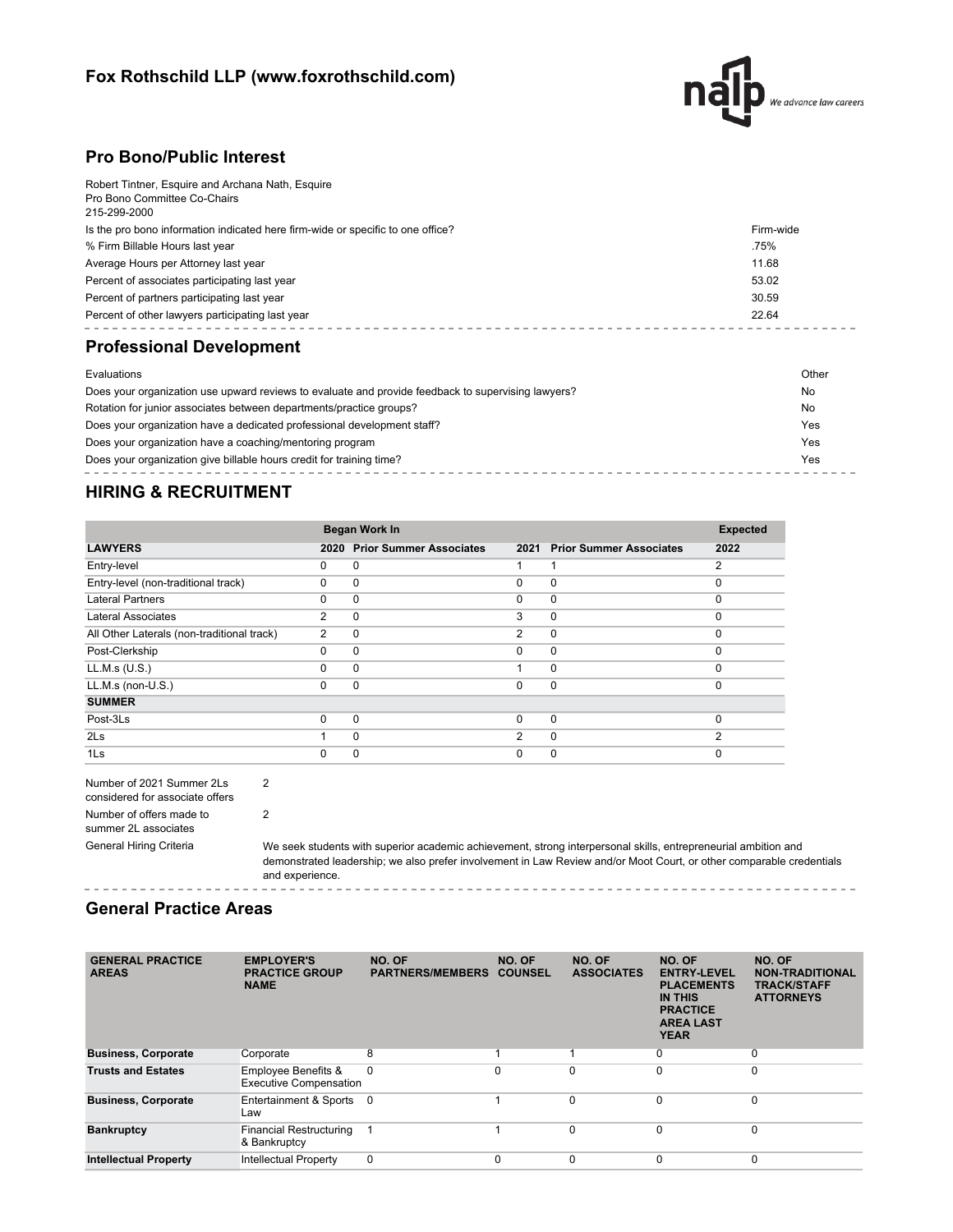# **Fox Rothschild LLP (www.foxrothschild.com)**



## **Pro Bono/Public Interest**

| Robert Tintner, Esquire and Archana Nath, Esquire                               |           |
|---------------------------------------------------------------------------------|-----------|
| Pro Bono Committee Co-Chairs<br>215-299-2000                                    |           |
|                                                                                 |           |
| Is the pro bono information indicated here firm-wide or specific to one office? | Firm-wide |
| % Firm Billable Hours last year                                                 | .75%      |
| Average Hours per Attorney last year                                            | 11.68     |
| Percent of associates participating last year                                   | 53.02     |
| Percent of partners participating last year                                     | 30.59     |
| Percent of other lawyers participating last year                                | 22.64     |
|                                                                                 |           |

# **Professional Development**

| Evaluations                                                                                        | Other |
|----------------------------------------------------------------------------------------------------|-------|
| Does your organization use upward reviews to evaluate and provide feedback to supervising lawyers? | No    |
| Rotation for junior associates between departments/practice groups?                                | No    |
| Does your organization have a dedicated professional development staff?                            | Yes   |
| Does your organization have a coaching/mentoring program                                           | Yes   |
| Does your organization give billable hours credit for training time?                               | Yes   |
|                                                                                                    |       |

# **HIRING & RECRUITMENT**

|                                            | Began Work In |                                |                |                                | <b>Expected</b> |
|--------------------------------------------|---------------|--------------------------------|----------------|--------------------------------|-----------------|
| <b>LAWYERS</b>                             | 2020          | <b>Prior Summer Associates</b> | 2021           | <b>Prior Summer Associates</b> | 2022            |
| Entry-level                                | 0             | 0                              |                |                                | 2               |
| Entry-level (non-traditional track)        | 0             | 0                              | $\Omega$       | $\mathbf 0$                    | $\Omega$        |
| <b>Lateral Partners</b>                    | $\Omega$      | $\Omega$                       | $\Omega$       | $\mathbf 0$                    | $\Omega$        |
| <b>Lateral Associates</b>                  | 2             | 0                              | 3              | $\mathbf 0$                    | $\Omega$        |
| All Other Laterals (non-traditional track) | 2             | 0                              | $\overline{2}$ | $\mathbf 0$                    | $\Omega$        |
| Post-Clerkship                             | 0             | $\Omega$                       | $\Omega$       | $\mathbf 0$                    | $\Omega$        |
| LL.M.s (U.S.)                              | $\Omega$      | $\Omega$                       |                | $\mathbf 0$                    | $\Omega$        |
| LL.M.s (non-U.S.)                          | $\Omega$      | $\Omega$                       | $\Omega$       | $\mathbf 0$                    | $\Omega$        |
| <b>SUMMER</b>                              |               |                                |                |                                |                 |
| Post-3Ls                                   | U             | $\Omega$                       | $\Omega$       | $\Omega$                       | $\Omega$        |
| 2 <sub>ls</sub>                            |               | $\Omega$                       | 2              | $\Omega$                       | 2               |
| 1 <sub>ls</sub>                            | ŋ             | 0                              | $\Omega$       | $\Omega$                       | $\Omega$        |

| Number of 2021 Summer 2Ls       |  |  |  |  |
|---------------------------------|--|--|--|--|
| considered for associate offers |  |  |  |  |
| Number of offers made to        |  |  |  |  |
| summer 2L associates            |  |  |  |  |
| <b>General Hiring Criteria</b>  |  |  |  |  |

2

2

We seek students with superior academic achievement, strong interpersonal skills, entrepreneurial ambition and demonstrated leadership; we also prefer involvement in Law Review and/or Moot Court, or other comparable credentials and experience. ------------

#### **General Practice Areas**

| <b>GENERAL PRACTICE</b><br><b>AREAS</b> | <b>EMPLOYER'S</b><br><b>PRACTICE GROUP</b><br><b>NAME</b>       | NO. OF<br><b>PARTNERS/MEMBERS</b> | NO. OF<br><b>COUNSEL</b> | NO. OF<br><b>ASSOCIATES</b> | NO. OF<br><b>ENTRY-LEVEL</b><br><b>PLACEMENTS</b><br><b>IN THIS</b><br><b>PRACTICE</b><br><b>AREA LAST</b><br><b>YEAR</b> | NO. OF<br><b>NON-TRADITIONAL</b><br><b>TRACK/STAFF</b><br><b>ATTORNEYS</b> |
|-----------------------------------------|-----------------------------------------------------------------|-----------------------------------|--------------------------|-----------------------------|---------------------------------------------------------------------------------------------------------------------------|----------------------------------------------------------------------------|
| <b>Business, Corporate</b>              | Corporate                                                       | 8                                 |                          |                             | 0                                                                                                                         | 0                                                                          |
| <b>Trusts and Estates</b>               | <b>Employee Benefits &amp;</b><br><b>Executive Compensation</b> | $\Omega$                          | $\Omega$                 | $\Omega$                    | $\Omega$                                                                                                                  | 0                                                                          |
| <b>Business, Corporate</b>              | Entertainment & Sports<br>Law                                   | - 0                               |                          | $\Omega$                    | $\Omega$                                                                                                                  | $\mathbf 0$                                                                |
| <b>Bankruptcy</b>                       | <b>Financial Restructuring</b><br>& Bankruptcy                  |                                   |                          | $\Omega$                    | $\Omega$                                                                                                                  | $\Omega$                                                                   |
| <b>Intellectual Property</b>            | <b>Intellectual Property</b>                                    | 0                                 | $\Omega$                 |                             | 0                                                                                                                         | 0                                                                          |